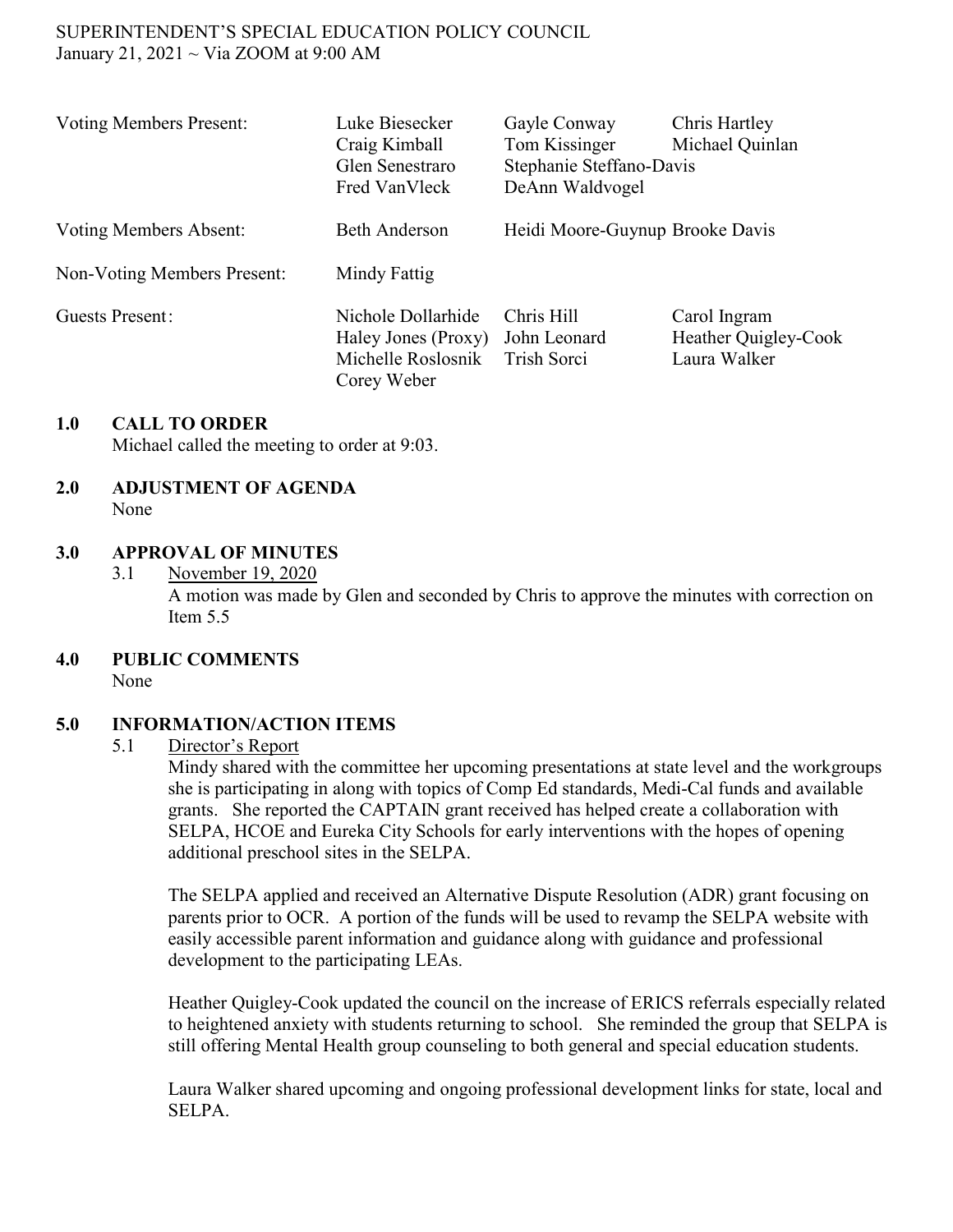### SUPERINTENDENT'S SPECIAL EDUCATION POLICY COUNCIL January 21, 2021 ~ Via ZOOM at 9:00 AM

| <b>Voting Members Present:</b> | Luke Biesecker<br>Craig Kimball<br>Glen Senestraro<br>Fred VanVleck            | Gayle Conway<br>Tom Kissinger<br>Stephanie Steffano-Davis<br>DeAnn Waldvogel | Chris Hartley<br>Michael Quinlan                     |
|--------------------------------|--------------------------------------------------------------------------------|------------------------------------------------------------------------------|------------------------------------------------------|
| Voting Members Absent:         | <b>Beth Anderson</b>                                                           | Heidi Moore-Guynup Brooke Davis                                              |                                                      |
| Non-Voting Members Present:    | Mindy Fattig                                                                   |                                                                              |                                                      |
| <b>Guests Present:</b>         | Nichole Dollarhide<br>Haley Jones (Proxy)<br>Michelle Roslosnik<br>Corey Weber | Chris Hill<br>John Leonard<br>Trish Sorci                                    | Carol Ingram<br>Heather Quigley-Cook<br>Laura Walker |

### **1.0 CALL TO ORDER**

Michael called the meeting to order at 9:03.

#### **2.0 ADJUSTMENT OF AGENDA** None

### **3.0 APPROVAL OF MINUTES**

- 3.1 November 19, 2020 A motion was made by Glen and seconded by Chris to approve the minutes with correction on Item 5.5
- **4.0 PUBLIC COMMENTS**

None

# **5.0 INFORMATION/ACTION ITEMS**

#### 5.1 Director's Report

Mindy shared with the committee her upcoming presentations at state level and the workgroups she is participating in along with topics of Comp Ed standards, Medi-Cal funds and available grants. She reported the CAPTAIN grant received has helped create a collaboration with SELPA, HCOE and Eureka City Schools for early interventions with the hopes of opening additional preschool sites in the SELPA.

The SELPA applied and received an Alternative Dispute Resolution (ADR) grant focusing on parents prior to OCR. A portion of the funds will be used to revamp the SELPA website with easily accessible parent information and guidance along with guidance and professional development to the participating LEAs.

Heather Quigley-Cook updated the council on the increase of ERICS referrals especially related to heightened anxiety with students returning to school. She reminded the group that SELPA is still offering Mental Health group counseling to both general and special education students.

Laura Walker shared upcoming and ongoing professional development links for state, local and SELPA.